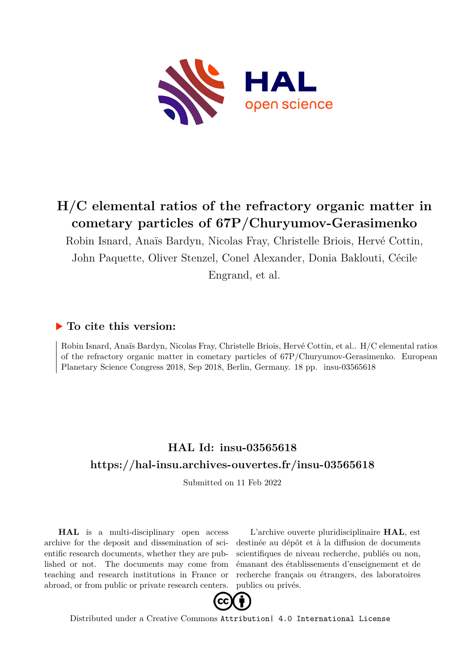

# **H/C elemental ratios of the refractory organic matter in cometary particles of 67P/Churyumov-Gerasimenko**

Robin Isnard, Anaïs Bardyn, Nicolas Fray, Christelle Briois, Hervé Cottin,

John Paquette, Oliver Stenzel, Conel Alexander, Donia Baklouti, Cécile

Engrand, et al.

## **To cite this version:**

Robin Isnard, Anaïs Bardyn, Nicolas Fray, Christelle Briois, Hervé Cottin, et al.. H/C elemental ratios of the refractory organic matter in cometary particles of 67P/Churyumov-Gerasimenko. European Planetary Science Congress 2018, Sep 2018, Berlin, Germany. 18 pp. insu-03565618

## **HAL Id: insu-03565618 <https://hal-insu.archives-ouvertes.fr/insu-03565618>**

Submitted on 11 Feb 2022

**HAL** is a multi-disciplinary open access archive for the deposit and dissemination of scientific research documents, whether they are published or not. The documents may come from teaching and research institutions in France or abroad, or from public or private research centers.

L'archive ouverte pluridisciplinaire **HAL**, est destinée au dépôt et à la diffusion de documents scientifiques de niveau recherche, publiés ou non, émanant des établissements d'enseignement et de recherche français ou étrangers, des laboratoires publics ou privés.



Distributed under a Creative Commons [Attribution| 4.0 International License](http://creativecommons.org/licenses/by/4.0/)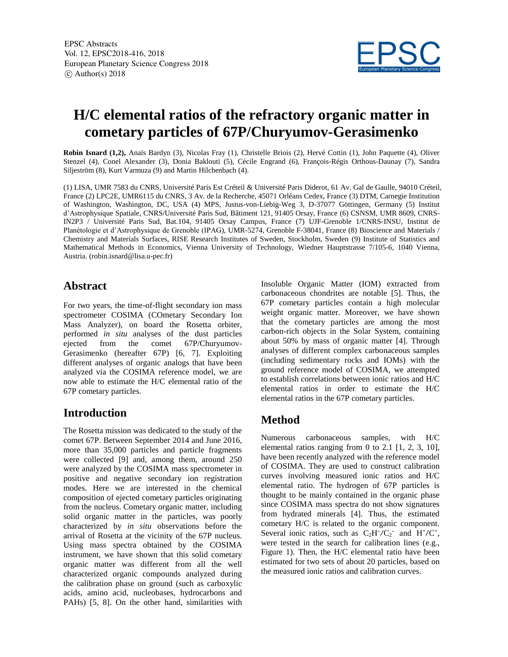

## **H/C elemental ratios of the refractory organic matter in cometary particles of 67P/Churyumov-Gerasimenko**

**Robin Isnard (1,2),** Anaïs Bardyn (3), Nicolas Fray (1), Christelle Briois (2), Hervé Cottin (1), John Paquette (4), Oliver Stenzel (4), Conel Alexander (3), Donia Baklouti (5), Cécile Engrand (6), François-Régis Orthous-Daunay (7), Sandra Siljeström (8), Kurt Varmuza (9) and Martin Hilchenbach (4).

(1) LISA, UMR 7583 du CNRS, Université Paris Est Créteil & Université Paris Diderot, 61 Av. Gal de Gaulle, 94010 Créteil, France (2) LPC2E, UMR6115 du CNRS, 3 Av. de la Recherche, 45071 Orléans Cedex, France (3) DTM, Carnegie Institution of Washington, Washington, DC, USA (4) MPS, Justus-von-Liebig-Weg 3, D-37077 Göttingen, Germany (5) Institut d'Astrophysique Spatiale, CNRS/Université Paris Sud, Bâtiment 121, 91405 Orsay, France (6) CSNSM, UMR 8609, CNRS-IN2P3 / Université Paris Sud, Bat.104, 91405 Orsay Campus, France (7) UJF-Grenoble 1/CNRS-INSU, Institut de Planétologie et d'Astrophysique de Grenoble (IPAG), UMR-5274, Grenoble F-38041, France (8) Bioscience and Materials / Chemistry and Materials Surfaces, RISE Research Institutes of Sweden, Stockholm, Sweden (9) Institute of Statistics and Mathematical Methods in Economics, Vienna University of Technology, Wiedner Hauptstrasse 7/105-6, 1040 Vienna, Austria. (robin.isnard@lisa.u-pec.fr)

### **Abstract**

For two years, the time-of-flight secondary ion mass spectrometer COSIMA (COmetary Secondary Ion Mass Analyzer), on board the Rosetta orbiter, performed *in situ* analyses of the dust particles ejected from the comet 67P/Churyumov-Gerasimenko (hereafter 67P) [6, 7]. Exploiting different analyses of organic analogs that have been analyzed via the COSIMA reference model, we are now able to estimate the H/C elemental ratio of the 67P cometary particles.

### **Introduction**

The Rosetta mission was dedicated to the study of the comet 67P. Between September 2014 and June 2016, more than 35,000 particles and particle fragments were collected [9] and, among them, around 250 were analyzed by the COSIMA mass spectrometer in positive and negative secondary ion registration modes. Here we are interested in the chemical composition of ejected cometary particles originating from the nucleus. Cometary organic matter, including solid organic matter in the particles, was poorly characterized by *in situ* observations before the arrival of Rosetta at the vicinity of the 67P nucleus. Using mass spectra obtained by the COSIMA instrument, we have shown that this solid cometary organic matter was different from all the well characterized organic compounds analyzed during the calibration phase on ground (such as carboxylic acids, amino acid, nucleobases, hydrocarbons and PAHs) [5, 8]. On the other hand, similarities with

Insoluble Organic Matter (IOM) extracted from carbonaceous chondrites are notable [5]. Thus, the 67P cometary particles contain a high molecular weight organic matter. Moreover, we have shown that the cometary particles are among the most carbon-rich objects in the Solar System, containing about 50% by mass of organic matter [4]. Through analyses of different complex carbonaceous samples (including sedimentary rocks and IOMs) with the ground reference model of COSIMA, we attempted to establish correlations between ionic ratios and H/C elemental ratios in order to estimate the H/C elemental ratios in the 67P cometary particles.

### **Method**

Numerous carbonaceous samples, with H/C elemental ratios ranging from 0 to 2.1 [1, 2, 3, 10], have been recently analyzed with the reference model of COSIMA. They are used to construct calibration curves involving measured ionic ratios and H/C elemental ratio. The hydrogen of 67P particles is thought to be mainly contained in the organic phase since COSIMA mass spectra do not show signatures from hydrated minerals [4]. Thus, the estimated cometary H/C is related to the organic component. Several ionic ratios, such as  $C_2H^-/C_2^-$  and  $H^+/C^+$ , were tested in the search for calibration lines (e.g., Figure 1). Then, the H/C elemental ratio have been estimated for two sets of about 20 particles, based on the measured ionic ratios and calibration curves.